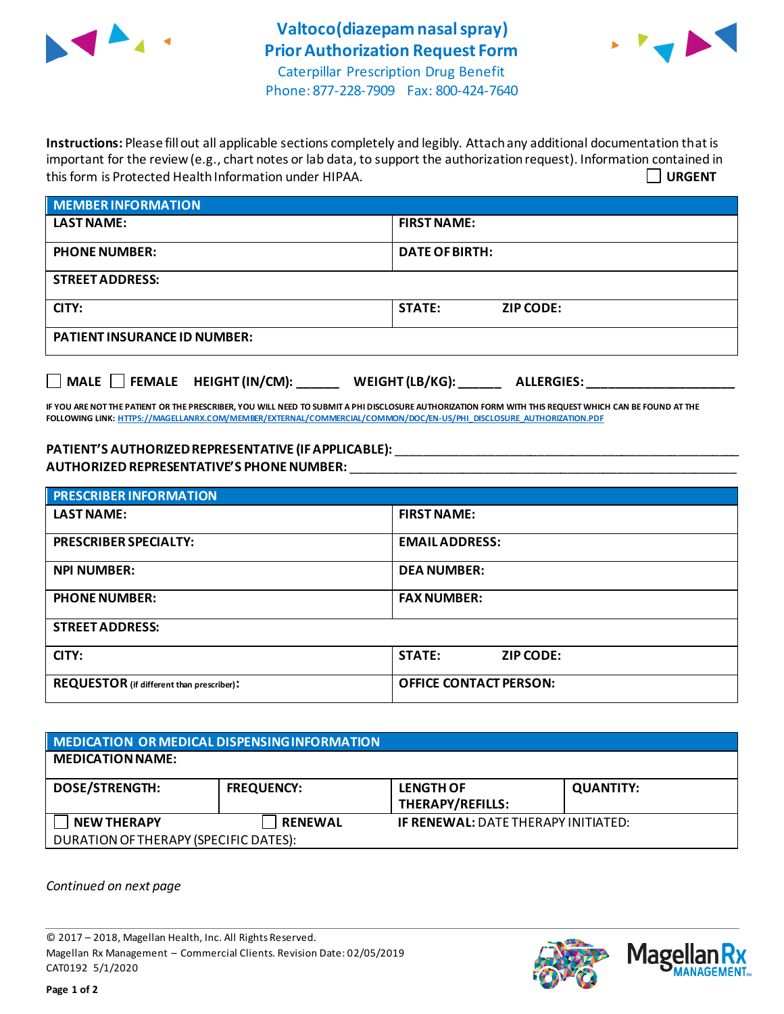



Phone: 877-228-7909 Fax: 800-424-7640

**Instructions:** Please fill out all applicable sections completely and legibly. Attach any additional documentation that is important for the review (e.g., chart notes or lab data, to support the authorization request). Information contained in this form is Protected Health Information under HIPAA. **URGENT**

| <b>MEMBER INFORMATION</b>           |                                   |  |
|-------------------------------------|-----------------------------------|--|
| <b>LAST NAME:</b>                   | <b>FIRST NAME:</b>                |  |
| <b>PHONE NUMBER:</b>                | <b>DATE OF BIRTH:</b>             |  |
| <b>STREET ADDRESS:</b>              |                                   |  |
| CITY:                               | <b>STATE:</b><br><b>ZIP CODE:</b> |  |
| <b>PATIENT INSURANCE ID NUMBER:</b> |                                   |  |
|                                     |                                   |  |

**IF YOU ARE NOT THE PATIENT OR THE PRESCRIBER, YOU WILL NEED TO SUBMIT A PHI DISCLOSURE AUTHORIZATION FORM WITH THIS REQUEST WHICH CAN BE FOUND AT THE FOLLOWING LINK[: HTTPS://MAGELLANRX.COM/MEMBER/EXTERNAL/COMMERCIAL/COMMON/DOC/EN-US/PHI\\_DISCLOSURE\\_AUTHORIZATION.PDF](https://magellanrx.com/member/external/commercial/common/doc/en-us/PHI_Disclosure_Authorization.pdf)**

**MALE FEMALE HEIGHT (IN/CM): \_\_\_\_\_\_ WEIGHT (LB/KG): \_\_\_\_\_\_ ALLERGIES: \_\_\_\_\_\_\_\_\_\_\_\_\_\_\_\_\_\_\_\_\_**

**PATIENT'S AUTHORIZEDREPRESENTATIVE (IF APPLICABLE):** \_\_\_\_\_\_\_\_\_\_\_\_\_\_\_\_\_\_\_\_\_\_\_\_\_\_\_\_\_\_\_\_\_\_\_\_\_\_\_\_\_\_\_\_\_\_\_\_\_ **AUTHORIZED REPRESENTATIVE'S PHONE NUMBER:** \_\_\_\_\_\_\_\_\_\_\_\_\_\_\_\_\_\_\_\_\_\_\_\_\_\_\_\_\_\_\_\_\_\_\_\_\_\_\_\_\_\_\_\_\_\_\_\_\_\_\_\_\_\_\_

| <b>PRESCRIBER INFORMATION</b>             |                                   |  |  |  |
|-------------------------------------------|-----------------------------------|--|--|--|
| <b>LAST NAME:</b>                         | <b>FIRST NAME:</b>                |  |  |  |
| <b>PRESCRIBER SPECIALTY:</b>              | <b>EMAIL ADDRESS:</b>             |  |  |  |
| <b>NPI NUMBER:</b>                        | <b>DEA NUMBER:</b>                |  |  |  |
| <b>PHONE NUMBER:</b>                      | <b>FAX NUMBER:</b>                |  |  |  |
| <b>STREET ADDRESS:</b>                    |                                   |  |  |  |
| CITY:                                     | <b>STATE:</b><br><b>ZIP CODE:</b> |  |  |  |
| REQUESTOR (if different than prescriber): | <b>OFFICE CONTACT PERSON:</b>     |  |  |  |

| MEDICATION OR MEDICAL DISPENSING INFORMATION |                   |                                            |                  |  |  |
|----------------------------------------------|-------------------|--------------------------------------------|------------------|--|--|
| <b>MEDICATION NAME:</b>                      |                   |                                            |                  |  |  |
| <b>DOSE/STRENGTH:</b>                        | <b>FREQUENCY:</b> | <b>LENGTH OF</b><br>THERAPY/REFILLS:       | <b>QUANTITY:</b> |  |  |
| <b>NEW THERAPY</b>                           | <b>RENEWAL</b>    | <b>IF RENEWAL: DATE THERAPY INITIATED:</b> |                  |  |  |
| DURATION OF THERAPY (SPECIFIC DATES):        |                   |                                            |                  |  |  |

*Continued on next page*

© 2017 – 2018, Magellan Health, Inc. All Rights Reserved. Magellan Rx Management – Commercial Clients. Revision Date: 02/05/2019 CAT0192 5/1/2020